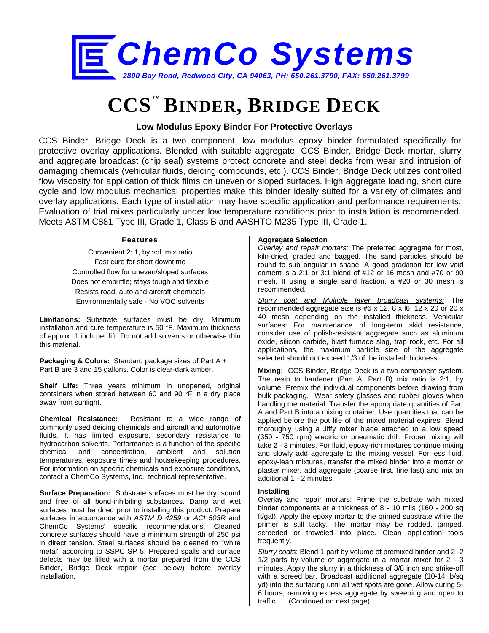

# **CCS™ BINDER, BRIDGE DECK**

### **Low Modulus Epoxy Binder For Protective Overlays**

CCS Binder, Bridge Deck is a two component, low modulus epoxy binder formulated specifically for protective overlay applications. Blended with suitable aggregate, CCS Binder, Bridge Deck mortar, slurry and aggregate broadcast (chip seal) systems protect concrete and steel decks from wear and intrusion of damaging chemicals (vehicular fluids, deicing compounds, etc.). CCS Binder, Bridge Deck utilizes controlled flow viscosity for application of thick films on uneven or sloped surfaces. High aggregate loading, short cure cycle and low modulus mechanical properties make this binder ideally suited for a variety of climates and overlay applications. Each type of installation may have specific application and performance requirements. Evaluation of trial mixes particularly under low temperature conditions prior to installation is recommended. Meets ASTM C881 Type III, Grade 1, Class B and AASHTO M235 Type III, Grade 1.

#### **Features**

Convenient 2: 1, by vol. mix ratio Fast cure for short downtime Controlled flow for uneven/sloped surfaces Does not embrittle; stays tough and flexible Resists road, auto and aircraft chemicals Environmentally safe - No VOC solvents

**Limitations:** Substrate surfaces must be dry. Minimum installation and cure temperature is 50 °F. Maximum thickness of approx. 1 inch per lift. Do not add solvents or otherwise thin this material.

**Packaging & Colors:** Standard package sizes of Part A + Part B are 3 and 15 gallons. Color is clear-dark amber.

**Shelf Life:** Three years minimum in unopened, original containers when stored between 60 and 90 °F in a dry place away from sunlight.

**Chemical Resistance:** Resistant to a wide range of commonly used deicing chemicals and aircraft and automotive fluids. It has limited exposure, secondary resistance to hydrocarbon solvents. Performance is a function of the specific chemical and concentration, ambient and solution temperatures, exposure times and housekeeping procedures. For information on specific chemicals and exposure conditions, contact a ChemCo Systems, Inc., technical representative.

**Surface Preparation:** Substrate surfaces must be dry, sound and free of all bond-inhibiting substances. Damp and wet surfaces must be dried prior to installing this product. Prepare surfaces in accordance with *ASTM D 4259* or *ACI 503R* and ChemCo Systems' specific recommendations. Cleaned concrete surfaces should have a minimum strength of 250 psi in direct tension. Steel surfaces should be cleaned to "white metal" according to SSPC SP 5. Prepared spalls and surface defects may be filled with a mortar prepared from the CCS Binder, Bridge Deck repair (see below) before overlay installation.

#### **Aggregate Selection**

*Overlay and repair mortars:* The preferred aggregate for most, kiln-dried, graded and bagged. The sand particles should be round to sub angular in shape. A good gradation for low void content is a 2:1 or 3:1 blend of #12 or 16 mesh and #70 or 90 mesh. If using a single sand fraction, a #20 or 30 mesh is recommended.

*Slurry coat and Multiple layer broadcast systems:* The recommended aggregate size is #6 x 12, 8 x l6, 12 x 20 or 20 x 40 mesh depending on the installed thickness. Vehicular surfaces: For maintenance of long-term skid resistance, consider use of polish-resistant aggregate such as aluminum oxide, silicon carbide, blast furnace slag, trap rock, etc. For all applications, the maximum particle size of the aggregate selected should not exceed 1/3 of the installed thickness.

**Mixing:** CCS Binder, Bridge Deck is a two-component system. The resin to hardener (Part A: Part B) mix ratio is 2:1, by volume. Premix the individual components before drawing from bulk packaging. Wear safety glasses and rubber gloves when handling the material. Transfer the appropriate quantities of Part A and Part B into a mixing container. Use quantities that can be applied before the pot life of the mixed material expires. Blend thoroughly using a Jiffy mixer blade attached to a low speed (350 - 750 rpm) electric or pneumatic drill. Proper mixing will take 2 - 3 minutes. For fluid, epoxy-rich mixtures continue mixing and slowly add aggregate to the mixing vessel. For less fluid, epoxy-lean mixtures, transfer the mixed binder into a mortar or plaster mixer, add aggregate (coarse first, fine last) and mix an additional 1 - 2 minutes.

#### **Installing**

Overlay and repair mortars: Prime the substrate with mixed binder components at a thickness of 8 - 10 mils (160 - 200 sq ft/gal). Apply the epoxy mortar to the primed substrate while the primer is still tacky. The mortar may be rodded, tamped, screeded or troweled into place. Clean application tools frequently.

*Slurry coats*: Blend 1 part by volume of premixed binder and 2 -2 1/2 parts by volume of aggregate in a mortar mixer for 2 - 3 minutes. Apply the slurry in a thickness of 3/8 inch and strike-off with a screed bar. Broadcast additional aggregate (10-14 lb/sq yd) into the surfacing until all wet spots are gone. Allow curing 5- 6 hours, removing excess aggregate by sweeping and open to traffic. (Continued on next page)